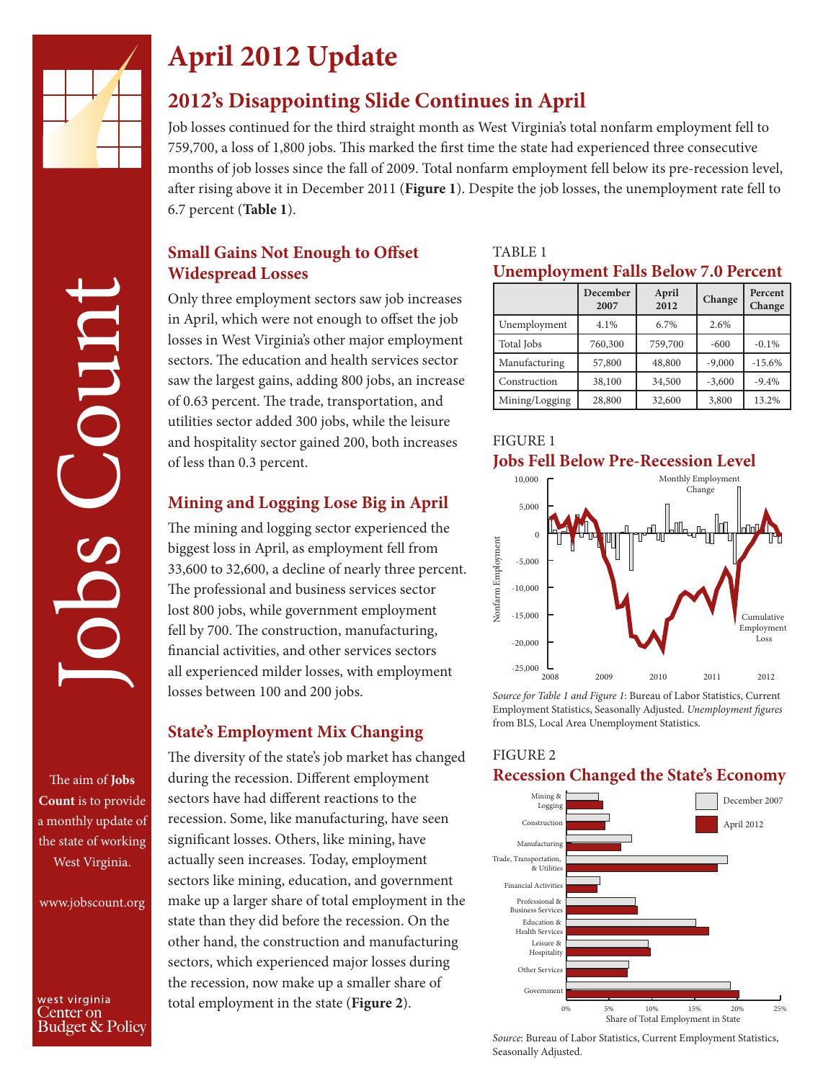

# **April 2012 Update**

## **2012's Disappointing Slide Continues in April**

Job losses continued for the third straight month as West Virginia's total nonfarm employment fell to 759,700, a loss of 1,800 jobs. This marked the first time the state had experienced three consecutive months of job losses since the fall of 2009. Total nonfarm employment fell below its pre-recession level, after rising above it in December 2011 (**Figure 1**). Despite the job losses, the unemployment rate fell to 6.7 percent (**Table 1**).

### **Small Gains Not Enough to Offset Widespread Losses**

Only three employment sectors saw job increases in April, which were not enough to offset the job losses in West Virginia's other major employment sectors. The education and health services sector saw the largest gains, adding 800 jobs, an increase of 0.63 percent. The trade, transportation, and utilities sector added 300 jobs, while the leisure and hospitality sector gained 200, both increases of less than 0.3 percent.

## **Mining and Logging Lose Big in April**

The mining and logging sector experienced the biggest loss in April, as employment fell from 33,600 to 32,600, a decline of nearly three percent. The professional and business services sector lost 800 jobs, while government employment fell by 700. The construction, manufacturing, financial activities, and other services sectors all experienced milder losses, with employment losses between 100 and 200 jobs.

### **State's Employment Mix Changing**

The diversity of the state's job market has changed during the recession. Different employment sectors have had different reactions to the recession. Some, like manufacturing, have seen significant losses. Others, like mining, have actually seen increases. Today, employment sectors like mining, education, and government make up a larger share of total employment in the state than they did before the recession. On the other hand, the construction and manufacturing sectors, which experienced major losses during the recession, now make up a smaller share of total employment in the state (**Figure 2**).

### TABLE 1 **Unemployment Falls Below 7.0 Percent**

|                | December<br>2007 | April<br>2012 | Change   | Percent<br>Change |
|----------------|------------------|---------------|----------|-------------------|
| Unemployment   | 4.1%             | 6.7%          | 2.6%     |                   |
| Total Jobs     | 760,300          | 759,700       | $-600$   | $-0.1%$           |
| Manufacturing  | 57,800           | 48,800        | $-9,000$ | $-15.6%$          |
| Construction   | 38,100           | 34,500        | $-3,600$ | $-9.4%$           |
| Mining/Logging | 28,800           | 32,600        | 3,800    | 13.2%             |





*Source for Table 1 and Figure 1*: Bureau of Labor Statistics, Current Employment Statistics, Seasonally Adjusted. *Unemployment figures*

### FIGURE 2 **Recession Changed the State's Economy**



*Source*: Bureau of Labor Statistics, Current Employment Statistics, Seasonally Adjusted.

Jobs Count Coun

The aim of **Jobs Count** is to provide a monthly update of the state of working West Virginia.

www.jobscount.org

west virginia Center on Budget & Policy